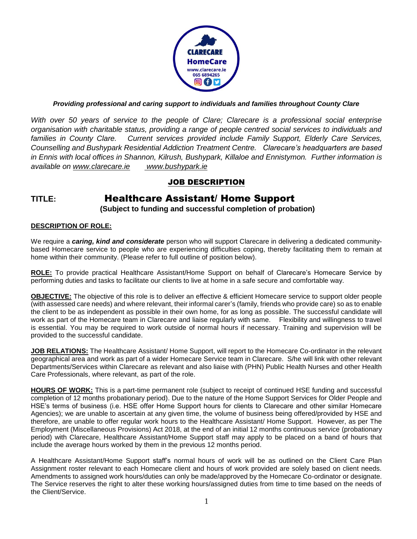

## *Providing professional and caring support to individuals and families throughout County Clare*

*With over 50 years of service to the people of Clare; Clarecare is a professional social enterprise organisation with charitable status, providing a range of people centred social services to individuals and families in County Clare. Current services provided include Family Support, Elderly Care Services, Counselling and Bushypark Residential Addiction Treatment Centre. Clarecare's headquarters are based in Ennis with local offices in Shannon, Kilrush, Bushypark, Killaloe and Ennistymon. Further information is available on [www.clarecare.ie](http://www.clarecare.ie/) [www.bushypark.ie](http://www.bushypark.ie/)*

## JOB DESCRIPTION

# **TITLE:** Healthcare Assistant/ Home Support

**(Subject to funding and successful completion of probation)**

#### **DESCRIPTION OF ROLE:**

We require a *caring, kind and considerate* person who will support Clarecare in delivering a dedicated communitybased Homecare service to people who are experiencing difficulties coping, thereby facilitating them to remain at home within their community. (Please refer to full outline of position below).

**ROLE:** To provide practical Healthcare Assistant/Home Support on behalf of Clarecare's Homecare Service by performing duties and tasks to facilitate our clients to live at home in a safe secure and comfortable way.

**OBJECTIVE:** The objective of this role is to deliver an effective & efficient Homecare service to support older people (with assessed care needs) and where relevant, their informal carer's (family, friends who provide care) so as to enable the client to be as independent as possible in their own home, for as long as possible. The successful candidate will work as part of the Homecare team in Clarecare and liaise regularly with same. Flexibility and willingness to travel is essential. You may be required to work outside of normal hours if necessary. Training and supervision will be provided to the successful candidate.

**JOB RELATIONS:** The Healthcare Assistant/ Home Support, will report to the Homecare Co-ordinator in the relevant geographical area and work as part of a wider Homecare Service team in Clarecare. S/he will link with other relevant Departments/Services within Clarecare as relevant and also liaise with (PHN) Public Health Nurses and other Health Care Professionals, where relevant, as part of the role.

**HOURS OF WORK:** This is a part-time permanent role (subject to receipt of continued HSE funding and successful completion of 12 months probationary period). Due to the nature of the Home Support Services for Older People and HSE's terms of business (i.e. HSE offer Home Support hours for clients to Clarecare and other similar Homecare Agencies); we are unable to ascertain at any given time, the volume of business being offered/provided by HSE and therefore, are unable to offer regular work hours to the Healthcare Assistant/ Home Support. However, as per The Employment (Miscellaneous Provisions) Act 2018, at the end of an initial 12 months continuous service (probationary period) with Clarecare, Healthcare Assistant/Home Support staff may apply to be placed on a band of hours that include the average hours worked by them in the previous 12 months period.

A Healthcare Assistant/Home Support staff's normal hours of work will be as outlined on the Client Care Plan Assignment roster relevant to each Homecare client and hours of work provided are solely based on client needs. Amendments to assigned work hours/duties can only be made/approved by the Homecare Co-ordinator or designate. The Service reserves the right to alter these working hours/assigned duties from time to time based on the needs of the Client/Service.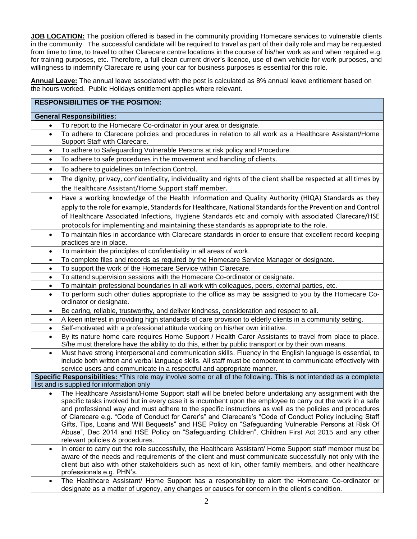**JOB LOCATION:** The position offered is based in the community providing Homecare services to vulnerable clients in the community. The successful candidate will be required to travel as part of their daily role and may be requested from time to time, to travel to other Clarecare centre locations in the course of his/her work as and when required e.g. for training purposes, etc. Therefore, a full clean current driver's licence, use of own vehicle for work purposes, and willingness to indemnify Clarecare re using your car for business purposes is essential for this role.

**Annual Leave:** The annual leave associated with the post is calculated as 8% annual leave entitlement based on the hours worked. Public Holidays entitlement applies where relevant.

| <b>RESPONSIBILITIES OF THE POSITION:</b>  |                                                                                                                                                                                                                                                                                                                                                                                                                  |  |
|-------------------------------------------|------------------------------------------------------------------------------------------------------------------------------------------------------------------------------------------------------------------------------------------------------------------------------------------------------------------------------------------------------------------------------------------------------------------|--|
| <b>General Responsibilities:</b>          |                                                                                                                                                                                                                                                                                                                                                                                                                  |  |
|                                           | To report to the Homecare Co-ordinator in your area or designate.                                                                                                                                                                                                                                                                                                                                                |  |
| $\bullet$                                 | To adhere to Clarecare policies and procedures in relation to all work as a Healthcare Assistant/Home<br>Support Staff with Clarecare.                                                                                                                                                                                                                                                                           |  |
| ٠                                         | To adhere to Safeguarding Vulnerable Persons at risk policy and Procedure.                                                                                                                                                                                                                                                                                                                                       |  |
| $\bullet$                                 | To adhere to safe procedures in the movement and handling of clients.                                                                                                                                                                                                                                                                                                                                            |  |
| $\bullet$                                 | To adhere to guidelines on Infection Control.                                                                                                                                                                                                                                                                                                                                                                    |  |
| $\bullet$                                 | The dignity, privacy, confidentiality, individuality and rights of the client shall be respected at all times by<br>the Healthcare Assistant/Home Support staff member.                                                                                                                                                                                                                                          |  |
|                                           | Have a working knowledge of the Health Information and Quality Authority (HIQA) Standards as they<br>apply to the role for example, Standards for Healthcare, National Standards for the Prevention and Control<br>of Healthcare Associated Infections, Hygiene Standards etc and comply with associated Clarecare/HSE<br>protocols for implementing and maintaining these standards as appropriate to the role. |  |
|                                           | To maintain files in accordance with Clarecare standards in order to ensure that excellent record keeping<br>practices are in place.                                                                                                                                                                                                                                                                             |  |
|                                           | To maintain the principles of confidentiality in all areas of work.                                                                                                                                                                                                                                                                                                                                              |  |
|                                           | To complete files and records as required by the Homecare Service Manager or designate.                                                                                                                                                                                                                                                                                                                          |  |
| $\bullet$                                 | To support the work of the Homecare Service within Clarecare.                                                                                                                                                                                                                                                                                                                                                    |  |
| $\bullet$                                 | To attend supervision sessions with the Homecare Co-ordinator or designate.                                                                                                                                                                                                                                                                                                                                      |  |
| $\bullet$                                 | To maintain professional boundaries in all work with colleagues, peers, external parties, etc.                                                                                                                                                                                                                                                                                                                   |  |
| $\bullet$                                 | To perform such other duties appropriate to the office as may be assigned to you by the Homecare Co-<br>ordinator or designate.                                                                                                                                                                                                                                                                                  |  |
| $\bullet$                                 | Be caring, reliable, trustworthy, and deliver kindness, consideration and respect to all.                                                                                                                                                                                                                                                                                                                        |  |
| $\bullet$                                 | A keen interest in providing high standards of care provision to elderly clients in a community setting.                                                                                                                                                                                                                                                                                                         |  |
| $\bullet$                                 | Self-motivated with a professional attitude working on his/her own initiative.                                                                                                                                                                                                                                                                                                                                   |  |
| $\bullet$                                 | By its nature home care requires Home Support / Health Carer Assistants to travel from place to place.<br>S/he must therefore have the ability to do this, either by public transport or by their own means.                                                                                                                                                                                                     |  |
|                                           | Must have strong interpersonal and communication skills. Fluency in the English language is essential, to<br>include both written and verbal language skills. All staff must be competent to communicate effectively with<br>service users and communicate in a respectful and appropriate manner.                                                                                                               |  |
|                                           | Specific Responsibilities: *This role may involve some or all of the following. This is not intended as a complete                                                                                                                                                                                                                                                                                               |  |
| list and is supplied for information only |                                                                                                                                                                                                                                                                                                                                                                                                                  |  |
|                                           | The Healthcare Assistant/Home Support staff will be briefed before undertaking any assignment with the<br>specific tasks involved but in every case it is incumbent upon the employee to carry out the work in a safe<br>and professional way and must adhere to the specific instructions as well as the policies and procedures                                                                                |  |
|                                           | of Clarecare e.g. "Code of Conduct for Carer's" and Clarecare's "Code of Conduct Policy including Staff<br>Gifts, Tips, Loans and Will Bequests" and HSE Policy on "Safeguarding Vulnerable Persons at Risk Of<br>Abuse", Dec 2014 and HSE Policy on "Safeguarding Children", Children First Act 2015 and any other<br>relevant policies & procedures.                                                           |  |
| $\bullet$                                 | In order to carry out the role successfully, the Healthcare Assistant/ Home Support staff member must be<br>aware of the needs and requirements of the client and must communicate successfully not only with the<br>client but also with other stakeholders such as next of kin, other family members, and other healthcare<br>professionals e.g. PHN's.                                                        |  |
| ٠                                         | The Healthcare Assistant/ Home Support has a responsibility to alert the Homecare Co-ordinator or<br>designate as a matter of urgency, any changes or causes for concern in the client's condition.                                                                                                                                                                                                              |  |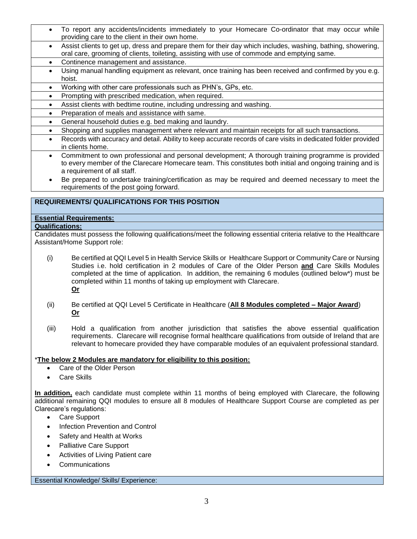- To report any accidents/incidents immediately to your Homecare Co-ordinator that may occur while providing care to the client in their own home.
- Assist clients to get up, dress and prepare them for their day which includes, washing, bathing, showering, oral care, grooming of clients, toileting, assisting with use of commode and emptying same.
- Continence management and assistance.
- Using manual handling equipment as relevant, once training has been received and confirmed by you e.g. hoist.
- Working with other care professionals such as PHN's, GPs, etc.
- Prompting with prescribed medication, when required.
- Assist clients with bedtime routine, including undressing and washing.
- Preparation of meals and assistance with same.
- General household duties e.g. bed making and laundry.
- Shopping and supplies management where relevant and maintain receipts for all such transactions.
	- Records with accuracy and detail. Ability to keep accurate records of care visits in dedicated folder provided in clients home.
	- Commitment to own professional and personal development; A thorough training programme is provided to every member of the Clarecare Homecare team. This constitutes both initial and ongoing training and is a requirement of all staff.
	- Be prepared to undertake training/certification as may be required and deemed necessary to meet the requirements of the post going forward.

## **REQUIREMENTS/ QUALIFICATIONS FOR THIS POSITION**

## **Essential Requirements:**

## **Qualifications:**

Candidates must possess the following qualifications/meet the following essential criteria relative to the Healthcare Assistant/Home Support role:

- (i) Be certified at QQI Level 5 in Health Service Skills or Healthcare Support or Community Care or Nursing Studies i.e. hold certification in 2 modules of Care of the Older Person **and** Care Skills Modules completed at the time of application. In addition, the remaining 6 modules (outlined below\*) must be completed within 11 months of taking up employment with Clarecare. **Or**
- (ii) Be certified at QQI Level 5 Certificate in Healthcare (**All 8 Modules completed – Major Award**) **Or**
- (iii) Hold a qualification from another jurisdiction that satisfies the above essential qualification requirements. Clarecare will recognise formal healthcare qualifications from outside of Ireland that are relevant to homecare provided they have comparable modules of an equivalent professional standard.

## \***The below 2 Modules are mandatory for eligibility to this position:**

- Care of the Older Person
- Care Skills

**In addition,** each candidate must complete within 11 months of being employed with Clarecare, the following additional remaining QQI modules to ensure all 8 modules of Healthcare Support Course are completed as per Clarecare's regulations:

- Care Support
- Infection Prevention and Control
- Safety and Health at Works
- Palliative Care Support
- Activities of Living Patient care
- Communications

Essential Knowledge/ Skills/ Experience: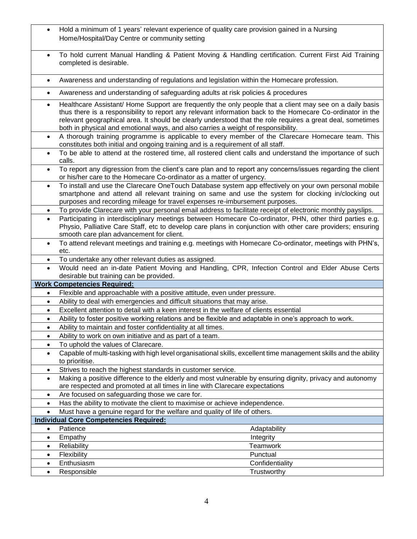|           | Hold a minimum of 1 years' relevant experience of quality care provision gained in a Nursing                                                          |
|-----------|-------------------------------------------------------------------------------------------------------------------------------------------------------|
|           | Home/Hospital/Day Centre or community setting                                                                                                         |
|           |                                                                                                                                                       |
|           | To hold current Manual Handling & Patient Moving & Handling certification. Current First Aid Training                                                 |
|           | completed is desirable.                                                                                                                               |
|           |                                                                                                                                                       |
| $\bullet$ | Awareness and understanding of regulations and legislation within the Homecare profession.                                                            |
|           |                                                                                                                                                       |
| ٠         | Awareness and understanding of safeguarding adults at risk policies & procedures                                                                      |
| $\bullet$ | Healthcare Assistant/ Home Support are frequently the only people that a client may see on a daily basis                                              |
|           | thus there is a responsibility to report any relevant information back to the Homecare Co-ordinator in the                                            |
|           | relevant geographical area. It should be clearly understood that the role requires a great deal, sometimes                                            |
|           | both in physical and emotional ways, and also carries a weight of responsibility.                                                                     |
|           | A thorough training programme is applicable to every member of the Clarecare Homecare team. This                                                      |
|           | constitutes both initial and ongoing training and is a requirement of all staff.                                                                      |
|           | To be able to attend at the rostered time, all rostered client calls and understand the importance of such<br>calls.                                  |
|           | To report any digression from the client's care plan and to report any concerns/issues regarding the client                                           |
|           | or his/her care to the Homecare Co-ordinator as a matter of urgency.                                                                                  |
| $\bullet$ | To install and use the Clarecare OneTouch Database system app effectively on your own personal mobile                                                 |
|           | smartphone and attend all relevant training on same and use the system for clocking in/clocking out                                                   |
|           | purposes and recording mileage for travel expenses re-imbursement purposes.                                                                           |
| ٠         | To provide Clarecare with your personal email address to facilitate receipt of electronic monthly payslips.                                           |
| $\bullet$ | Participating in interdisciplinary meetings between Homecare Co-ordinator, PHN, other third parties e.g.                                              |
|           | Physio, Palliative Care Staff, etc to develop care plans in conjunction with other care providers; ensuring                                           |
|           | smooth care plan advancement for client.                                                                                                              |
| $\bullet$ | To attend relevant meetings and training e.g. meetings with Homecare Co-ordinator, meetings with PHN's,                                               |
|           | etc.                                                                                                                                                  |
| $\bullet$ | To undertake any other relevant duties as assigned.                                                                                                   |
| $\bullet$ | Would need an in-date Patient Moving and Handling, CPR, Infection Control and Elder Abuse Certs                                                       |
|           | desirable but training can be provided.                                                                                                               |
| $\bullet$ | <b>Work Competencies Required:</b>                                                                                                                    |
| $\bullet$ | Flexible and approachable with a positive attitude, even under pressure.<br>Ability to deal with emergencies and difficult situations that may arise. |
| $\bullet$ | Excellent attention to detail with a keen interest in the welfare of clients essential                                                                |
| $\bullet$ | Ability to foster positive working relations and be flexible and adaptable in one's approach to work.                                                 |
|           | Ability to maintain and foster confidentiality at all times.                                                                                          |
| $\bullet$ | Ability to work on own initiative and as part of a team.                                                                                              |
| $\bullet$ | To uphold the values of Clarecare.                                                                                                                    |
| ٠         | Capable of multi-tasking with high level organisational skills, excellent time management skills and the ability                                      |
|           | to prioritise.                                                                                                                                        |
| ٠         | Strives to reach the highest standards in customer service.                                                                                           |
| $\bullet$ | Making a positive difference to the elderly and most vulnerable by ensuring dignity, privacy and autonomy                                             |
|           | are respected and promoted at all times in line with Clarecare expectations                                                                           |
| $\bullet$ | Are focused on safeguarding those we care for.                                                                                                        |
| $\bullet$ | Has the ability to motivate the client to maximise or achieve independence.                                                                           |
| $\bullet$ | Must have a genuine regard for the welfare and quality of life of others.                                                                             |
|           | <b>Individual Core Competencies Required:</b>                                                                                                         |
| $\bullet$ | Patience<br>Adaptability                                                                                                                              |
| $\bullet$ | Empathy<br>Integrity                                                                                                                                  |
| $\bullet$ | Reliability<br>Teamwork                                                                                                                               |
| $\bullet$ | Punctual<br>Flexibility                                                                                                                               |
| $\bullet$ | Enthusiasm<br>Confidentiality                                                                                                                         |
| $\bullet$ | Responsible<br>Trustworthy                                                                                                                            |